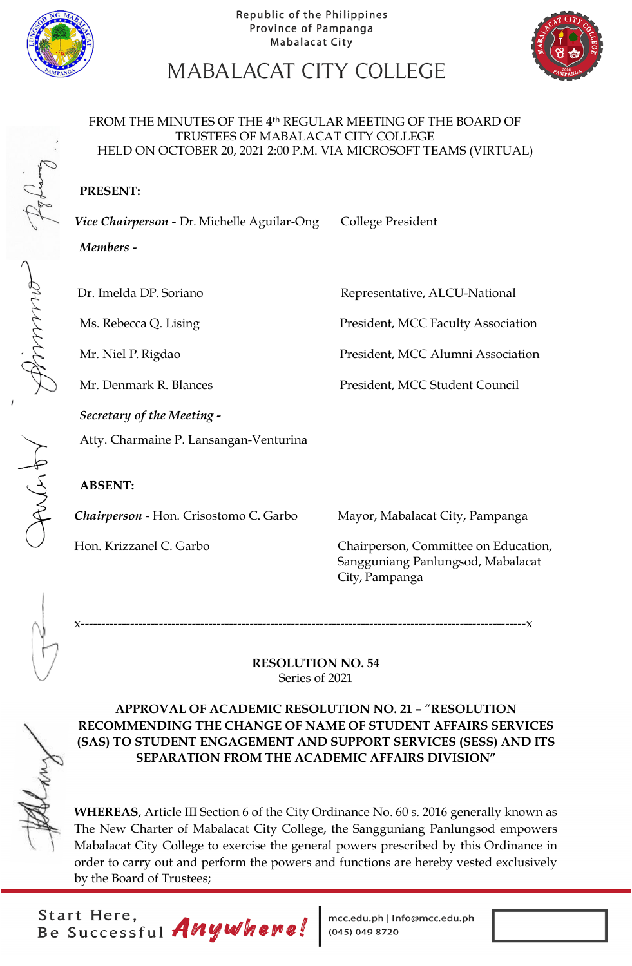



# MABALACAT CITY COLLEGE

#### FROM THE MINUTES OF THE 4th REGULAR MEETING OF THE BOARD OF TRUSTEES OF MABALACAT CITY COLLEGE HELD ON OCTOBER 20, 2021 2:00 P.M. VIA MICROSOFT TEAMS (VIRTUAL)

### **PRESENT:**

Vice Chairperson - Dr. Michelle Aguilar-Ong College President *Members* **-**

Dr. Imelda DP. Soriano **Representative, ALCU-National** 

Ms. Rebecca Q. Lising President, MCC Faculty Association

Mr. Niel P. Rigdao President, MCC Alumni Association

Mr. Denmark R. Blances President, MCC Student Council

*Secretary of the Meeting -*

Atty. Charmaine P. Lansangan-Venturina

### **ABSENT:**

*Chairperson* - Hon. Crisostomo C. Garbo Mayor, Mabalacat City, Pampanga

Hon. Krizzanel C. Garbo Chairperson, Committee on Education, Sangguniang Panlungsod, Mabalacat City, Pampanga

x------------------------------------------------------------------------------------------------------------x

#### **RESOLUTION NO. 54** Series of 2021



**APPROVAL OF ACADEMIC RESOLUTION NO. 21 –** "**RESOLUTION RECOMMENDING THE CHANGE OF NAME OF STUDENT AFFAIRS SERVICES (SAS) TO STUDENT ENGAGEMENT AND SUPPORT SERVICES (SESS) AND ITS SEPARATION FROM THE ACADEMIC AFFAIRS DIVISION"**

**WHEREAS**, Article III Section 6 of the City Ordinance No. 60 s. 2016 generally known as The New Charter of Mabalacat City College, the Sangguniang Panlungsod empowers Mabalacat City College to exercise the general powers prescribed by this Ordinance in order to carry out and perform the powers and functions are hereby vested exclusively by the Board of Trustees;

Start Here,<br>Be Successful *Anywhere!* 

mcc.edu.ph | Info@mcc.edu.ph<br>(045) 049 8720

Jacht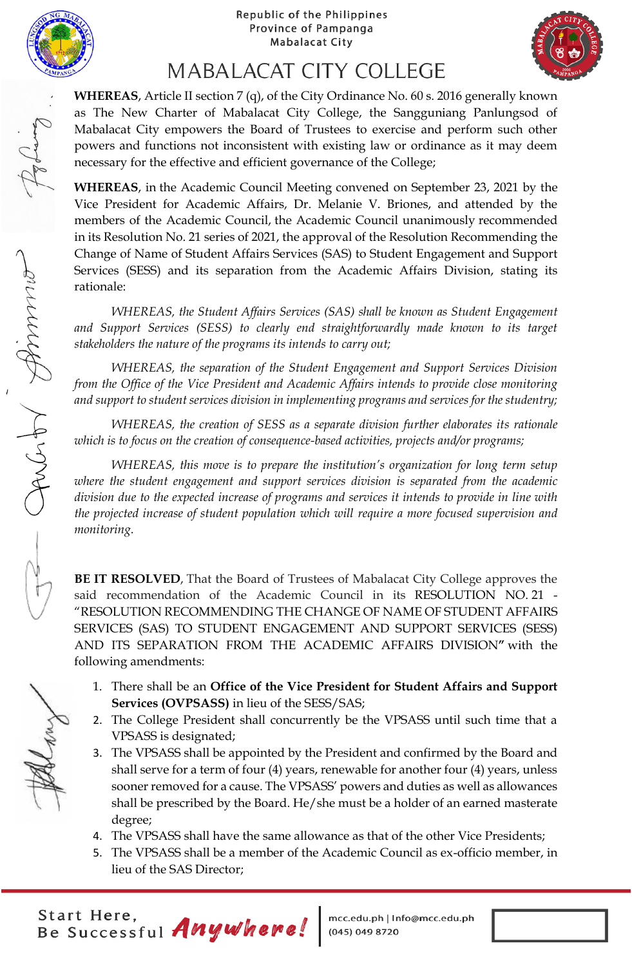



## **MABALACAT CITY COLLEGE**

**WHEREAS**, Article II section 7 (q), of the City Ordinance No. 60 s. 2016 generally known as The New Charter of Mabalacat City College, the Sangguniang Panlungsod of Mabalacat City empowers the Board of Trustees to exercise and perform such other powers and functions not inconsistent with existing law or ordinance as it may deem necessary for the effective and efficient governance of the College;

**WHEREAS**, in the Academic Council Meeting convened on September 23, 2021 by the Vice President for Academic Affairs, Dr. Melanie V. Briones, and attended by the members of the Academic Council, the Academic Council unanimously recommended in its Resolution No. 21 series of 2021, the approval of the Resolution Recommending the Change of Name of Student Affairs Services (SAS) to Student Engagement and Support Services (SESS) and its separation from the Academic Affairs Division, stating its rationale:

*WHEREAS, the Student Affairs Services (SAS) shall be known as Student Engagement*  and Support Services (SESS) to clearly end straightforwardly made known to its target *stakeholders the nature of the programs its intends to carry out;*

*WHEREAS, the separation of the Student Engagement and Support Services Division from the Office of the Vice President and Academic Affairs intends to provide close monitoring and support to student services division in implementing programs and services for the studentry;*

*WHEREAS, the creation of SESS as a separate division further elaborates its rationale which is to focus on the creation of consequence-based activities, projects and/or programs;*

*WHEREAS, this move is to prepare the institution's organization for long term setup where the student engagement and support services division is separated from the academic division due to the expected increase of programs and services it intends to provide in line with the projected increase of student population which will require a more focused supervision and monitoring.*

**BE IT RESOLVED**, That the Board of Trustees of Mabalacat City College approves the said recommendation of the Academic Council in its RESOLUTION NO. 21 - "RESOLUTION RECOMMENDING THE CHANGE OF NAME OF STUDENT AFFAIRS SERVICES (SAS) TO STUDENT ENGAGEMENT AND SUPPORT SERVICES (SESS) AND ITS SEPARATION FROM THE ACADEMIC AFFAIRS DIVISION**"** with the following amendments:

- 1. There shall be an **Office of the Vice President for Student Affairs and Support Services (OVPSASS)** in lieu of the SESS/SAS;
- 2. The College President shall concurrently be the VPSASS until such time that a VPSASS is designated;
- 3. The VPSASS shall be appointed by the President and confirmed by the Board and shall serve for a term of four (4) years, renewable for another four (4) years, unless sooner removed for a cause. The VPSASS' powers and duties as well as allowances shall be prescribed by the Board. He/she must be a holder of an earned masterate degree;
- 4. The VPSASS shall have the same allowance as that of the other Vice Presidents;
- 5. The VPSASS shall be a member of the Academic Council as ex-officio member, in lieu of the SAS Director;

Start Here,<br>Be Successful Anywhere!

mcc.edu.ph | Info@mcc.edu.ph (045) 049 8720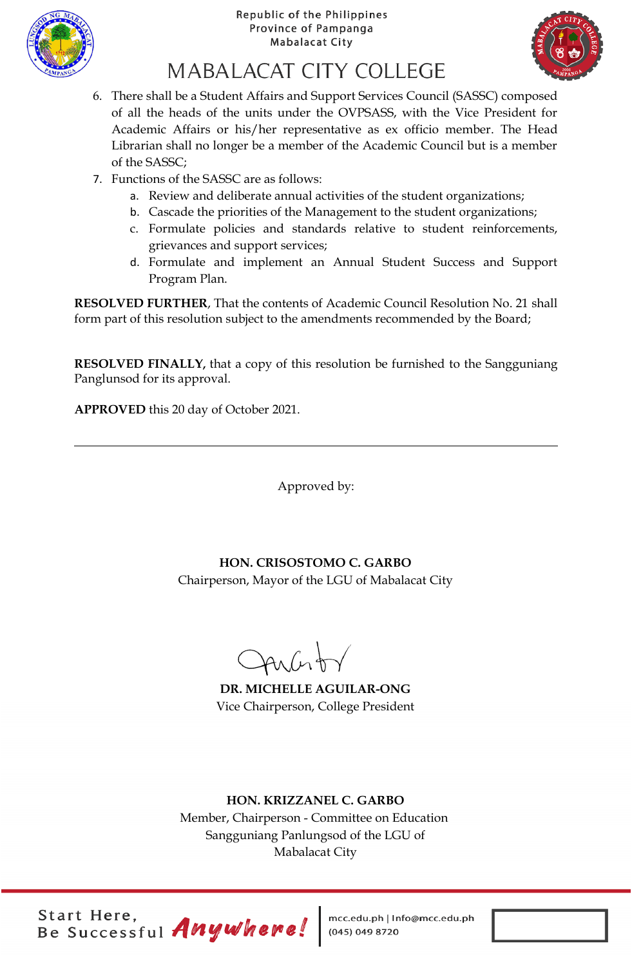



# MABALACAT CITY COLLEGE

- 6. There shall be a Student Affairs and Support Services Council (SASSC) composed of all the heads of the units under the OVPSASS, with the Vice President for Academic Affairs or his/her representative as ex officio member. The Head Librarian shall no longer be a member of the Academic Council but is a member of the SASSC;
- 7. Functions of the SASSC are as follows:
	- a. Review and deliberate annual activities of the student organizations;
	- b. Cascade the priorities of the Management to the student organizations;
	- c. Formulate policies and standards relative to student reinforcements, grievances and support services;
	- d. Formulate and implement an Annual Student Success and Support Program Plan.

**RESOLVED FURTHER**, That the contents of Academic Council Resolution No. 21 shall form part of this resolution subject to the amendments recommended by the Board;

**RESOLVED FINALLY,** that a copy of this resolution be furnished to the Sangguniang Panglunsod for its approval.

**APPROVED** this 20 day of October 2021.

Approved by:

## **HON. CRISOSTOMO C. GARBO**

Chairperson, Mayor of the LGU of Mabalacat City

Aucht

**DR. MICHELLE AGUILAR-ONG** Vice Chairperson, College President

### **HON. KRIZZANEL C. GARBO**

Member, Chairperson - Committee on Education Sangguniang Panlungsod of the LGU of Mabalacat City

Start Here,<br>Be Successful Anywhere!

mcc.edu.ph | Info@mcc.edu.ph<br>(045) 049 8720